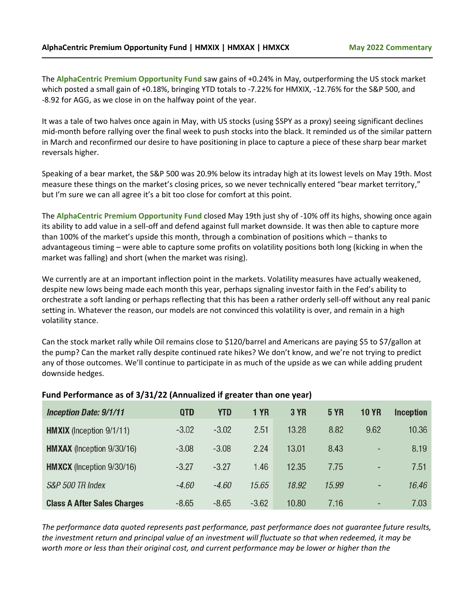The **AlphaCentric Premium Opportunity Fund** saw gains of +0.24% in May, outperforming the US stock market which posted a small gain of +0.18%, bringing YTD totals to -7.22% for HMXIX, -12.76% for the S&P 500, and -8.92 for AGG, as we close in on the halfway point of the year.

It was a tale of two halves once again in May, with US stocks (using \$SPY as a proxy) seeing significant declines mid-month before rallying over the final week to push stocks into the black. It reminded us of the similar pattern in March and reconfirmed our desire to have positioning in place to capture a piece of these sharp bear market reversals higher.

Speaking of a bear market, the S&P 500 was 20.9% below its intraday high at its lowest levels on May 19th. Most measure these things on the market's closing prices, so we never technically entered "bear market territory," but I'm sure we can all agree it's a bit too close for comfort at this point.

The **AlphaCentric Premium Opportunity Fund** closed May 19th just shy of -10% off its highs, showing once again its ability to add value in a sell-off and defend against full market downside. It was then able to capture more than 100% of the market's upside this month, through a combination of positions which – thanks to advantageous timing – were able to capture some profits on volatility positions both long (kicking in when the market was falling) and short (when the market was rising).

We currently are at an important inflection point in the markets. Volatility measures have actually weakened, despite new lows being made each month this year, perhaps signaling investor faith in the Fed's ability to orchestrate a soft landing or perhaps reflecting that this has been a rather orderly sell-off without any real panic setting in. Whatever the reason, our models are not convinced this volatility is over, and remain in a high volatility stance.

Can the stock market rally while Oil remains close to \$120/barrel and Americans are paying \$5 to \$7/gallon at the pump? Can the market rally despite continued rate hikes? We don't know, and we're not trying to predict any of those outcomes. We'll continue to participate in as much of the upside as we can while adding prudent downside hedges.

| <b>Inception Date: 9/1/11</b>      | <b>QTD</b> | <b>YTD</b> | <b>1 YR</b> | <b>3 YR</b> | <b>5 YR</b> | <b>10 YR</b>                 | <b>Inception</b> |
|------------------------------------|------------|------------|-------------|-------------|-------------|------------------------------|------------------|
| <b>HMXIX</b> (Inception 9/1/11)    | $-3.02$    | $-3.02$    | 2.51        | 13.28       | 8.82        | 9.62                         | 10.36            |
| <b>HMXAX</b> (Inception 9/30/16)   | $-3.08$    | $-3.08$    | 2.24        | 13.01       | 8.43        | $\overline{\phantom{0}}$     | 8.19             |
| <b>HMXCX</b> (Inception 9/30/16)   | $-3.27$    | $-3.27$    | 1.46        | 12.35       | 7.75        | $\qquad \qquad \blacksquare$ | 7.51             |
| S&P 500 TR Index                   | $-4.60$    | $-4.60$    | 15.65       | 18.92       | 15.99       | -                            | 16.46            |
| <b>Class A After Sales Charges</b> | $-8.65$    | $-8.65$    | $-3.62$     | 10.80       | 7.16        | $\overline{\phantom{0}}$     | 7.03             |

## **Fund Performance as of 3/31/22 (Annualized if greater than one year)**

*The performance data quoted represents past performance, past performance does not guarantee future results, the investment return and principal value of an investment will fluctuate so that when redeemed, it may be worth more or less than their original cost, and current performance may be lower or higher than the*